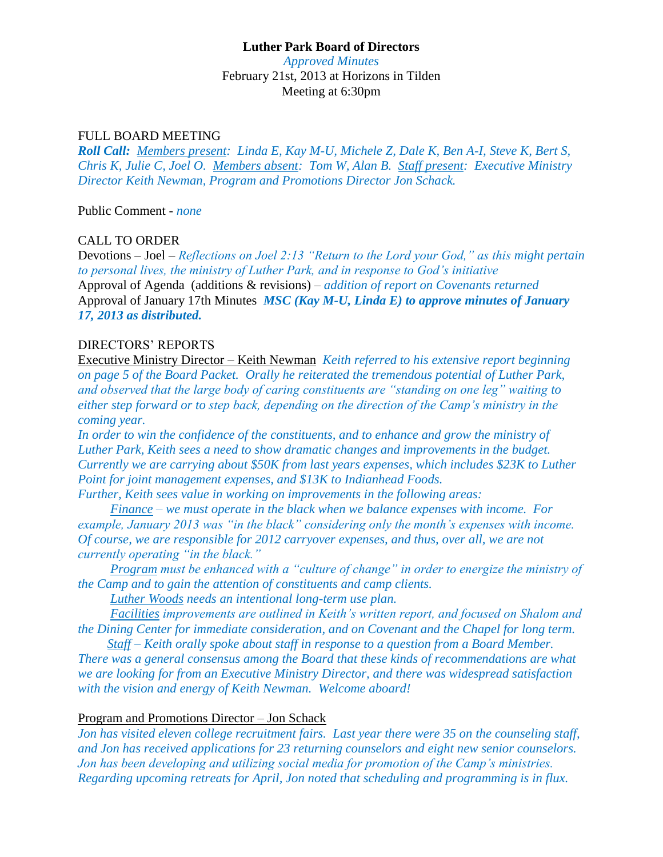# **Luther Park Board of Directors**

*Approved Minutes* February 21st, 2013 at Horizons in Tilden Meeting at 6:30pm

### FULL BOARD MEETING

*Roll Call: Members present: Linda E, Kay M-U, Michele Z, Dale K, Ben A-I, Steve K, Bert S, Chris K, Julie C, Joel O. Members absent: Tom W, Alan B. Staff present: Executive Ministry Director Keith Newman, Program and Promotions Director Jon Schack.*

Public Comment - *none*

### CALL TO ORDER

Devotions – Joel – *Reflections on Joel 2:13 "Return to the Lord your God," as this might pertain to personal lives, the ministry of Luther Park, and in response to God's initiative* Approval of Agenda (additions & revisions) – *addition of report on Covenants returned* Approval of January 17th Minutes *MSC (Kay M-U, Linda E) to approve minutes of January 17, 2013 as distributed.*

### DIRECTORS' REPORTS

Executive Ministry Director – Keith Newman *Keith referred to his extensive report beginning on page 5 of the Board Packet. Orally he reiterated the tremendous potential of Luther Park, and observed that the large body of caring constituents are "standing on one leg" waiting to either step forward or to step back, depending on the direction of the Camp's ministry in the coming year.* 

*In order to win the confidence of the constituents, and to enhance and grow the ministry of Luther Park, Keith sees a need to show dramatic changes and improvements in the budget. Currently we are carrying about \$50K from last years expenses, which includes \$23K to Luther Point for joint management expenses, and \$13K to Indianhead Foods. Further, Keith sees value in working on improvements in the following areas:*

 *Finance – we must operate in the black when we balance expenses with income. For example, January 2013 was "in the black" considering only the month's expenses with income. Of course, we are responsible for 2012 carryover expenses, and thus, over all, we are not currently operating "in the black."*

 *Program must be enhanced with a "culture of change" in order to energize the ministry of the Camp and to gain the attention of constituents and camp clients.*

 *Luther Woods needs an intentional long-term use plan.*

 *Facilities improvements are outlined in Keith's written report, and focused on Shalom and the Dining Center for immediate consideration, and on Covenant and the Chapel for long term.*

 *Staff – Keith orally spoke about staff in response to a question from a Board Member. There was a general consensus among the Board that these kinds of recommendations are what we are looking for from an Executive Ministry Director, and there was widespread satisfaction with the vision and energy of Keith Newman. Welcome aboard!* 

### Program and Promotions Director – Jon Schack

*Jon has visited eleven college recruitment fairs. Last year there were 35 on the counseling staff, and Jon has received applications for 23 returning counselors and eight new senior counselors. Jon has been developing and utilizing social media for promotion of the Camp's ministries. Regarding upcoming retreats for April, Jon noted that scheduling and programming is in flux.*